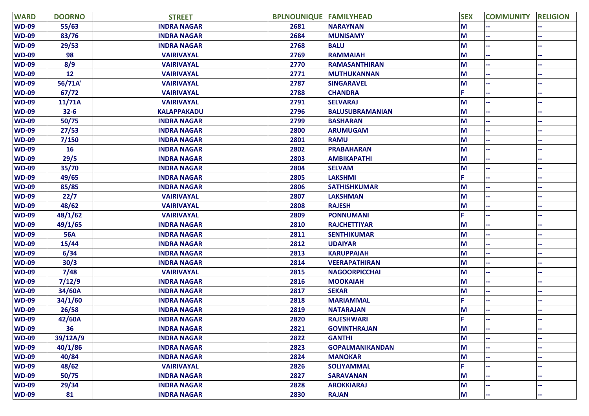| <b>WARD</b>  | <b>DOORNO</b> | <b>STREET</b>      | <b>BPLNOUNIQUE FAMILYHEAD</b> |                        | <b>SEX</b> | <b>COMMUNITY</b> | <b>RELIGION</b> |
|--------------|---------------|--------------------|-------------------------------|------------------------|------------|------------------|-----------------|
| <b>WD-09</b> | 55/63         | <b>INDRA NAGAR</b> | 2681                          | <b>NARAYNAN</b>        | M          |                  |                 |
| <b>WD-09</b> | 83/76         | <b>INDRA NAGAR</b> | 2684                          | <b>MUNISAMY</b>        | M          |                  |                 |
| <b>WD-09</b> | 29/53         | <b>INDRA NAGAR</b> | 2768                          | <b>BALU</b>            | M          |                  |                 |
| <b>WD-09</b> | 98            | <b>VAIRIVAYAL</b>  | 2769                          | <b>RAMMAIAH</b>        | M          |                  |                 |
| <b>WD-09</b> | 8/9           | <b>VAIRIVAYAL</b>  | 2770                          | <b>RAMASANTHIRAN</b>   | M          |                  |                 |
| <b>WD-09</b> | 12            | <b>VAIRIVAYAL</b>  | 2771                          | <b>MUTHUKANNAN</b>     | M          |                  |                 |
| <b>WD-09</b> | 56/71A        | <b>VAIRIVAYAL</b>  | 2787                          | <b>SINGARAVEL</b>      | M          |                  |                 |
| <b>WD-09</b> | 67/72         | <b>VAIRIVAYAL</b>  | 2788                          | <b>CHANDRA</b>         |            |                  |                 |
| <b>WD-09</b> | 11/71A        | <b>VAIRIVAYAL</b>  | 2791                          | <b>SELVARAJ</b>        | M          |                  |                 |
| <b>WD-09</b> | $32 - 6$      | <b>KALAPPAKADU</b> | 2796                          | <b>BALUSUBRAMANIAN</b> | M          |                  |                 |
| <b>WD-09</b> | 50/75         | <b>INDRA NAGAR</b> | 2799                          | <b>BASHARAN</b>        | M          |                  |                 |
| <b>WD-09</b> | 27/53         | <b>INDRA NAGAR</b> | 2800                          | <b>ARUMUGAM</b>        | M          |                  |                 |
| <b>WD-09</b> | 7/150         | <b>INDRA NAGAR</b> | 2801                          | <b>RAMU</b>            | M          |                  |                 |
| <b>WD-09</b> | 16            | <b>INDRA NAGAR</b> | 2802                          | <b>PRABAHARAN</b>      | M          |                  |                 |
| <b>WD-09</b> | 29/5          | <b>INDRA NAGAR</b> | 2803                          | <b>AMBIKAPATHI</b>     | M          |                  |                 |
| <b>WD-09</b> | 35/70         | <b>INDRA NAGAR</b> | 2804                          | <b>SELVAM</b>          | M          |                  |                 |
| <b>WD-09</b> | 49/65         | <b>INDRA NAGAR</b> | 2805                          | <b>LAKSHMI</b>         |            |                  |                 |
| <b>WD-09</b> | 85/85         | <b>INDRA NAGAR</b> | 2806                          | <b>SATHISHKUMAR</b>    | M          |                  |                 |
| <b>WD-09</b> | 22/7          | <b>VAIRIVAYAL</b>  | 2807                          | <b>LAKSHMAN</b>        | M          |                  |                 |
| <b>WD-09</b> | 48/62         | <b>VAIRIVAYAL</b>  | 2808                          | <b>RAJESH</b>          | M          |                  |                 |
| <b>WD-09</b> | 48/1/62       | <b>VAIRIVAYAL</b>  | 2809                          | <b>PONNUMANI</b>       | Ë          |                  |                 |
| <b>WD-09</b> | 49/1/65       | <b>INDRA NAGAR</b> | 2810                          | <b>RAJCHETTIYAR</b>    | M          |                  |                 |
| <b>WD-09</b> | <b>56A</b>    | <b>INDRA NAGAR</b> | 2811                          | <b>SENTHIKUMAR</b>     | M          |                  |                 |
| <b>WD-09</b> | 15/44         | <b>INDRA NAGAR</b> | 2812                          | <b>UDAIYAR</b>         | M          |                  |                 |
| <b>WD-09</b> | 6/34          | <b>INDRA NAGAR</b> | 2813                          | <b>KARUPPAIAH</b>      | M          |                  |                 |
| <b>WD-09</b> | 30/3          | <b>INDRA NAGAR</b> | 2814                          | <b>VEERAPATHIRAN</b>   | M          |                  |                 |
| <b>WD-09</b> | 7/48          | <b>VAIRIVAYAL</b>  | 2815                          | <b>NAGOORPICCHAI</b>   | M          |                  |                 |
| <b>WD-09</b> | 7/12/9        | <b>INDRA NAGAR</b> | 2816                          | <b>MOOKAIAH</b>        | M          |                  |                 |
| <b>WD-09</b> | 34/60A        | <b>INDRA NAGAR</b> | 2817                          | <b>SEKAR</b>           | M          |                  |                 |
| <b>WD-09</b> | 34/1/60       | <b>INDRA NAGAR</b> | 2818                          | <b>MARIAMMAL</b>       | F.         |                  |                 |
| <b>WD-09</b> | 26/58         | <b>INDRA NAGAR</b> | 2819                          | <b>NATARAJAN</b>       | M          |                  |                 |
| <b>WD-09</b> | 42/60A        | <b>INDRA NAGAR</b> | 2820                          | <b>RAJESHWARI</b>      | F.         |                  |                 |
| <b>WD-09</b> | 36            | <b>INDRA NAGAR</b> | 2821                          | <b>GOVINTHRAJAN</b>    | M          | ۰.               |                 |
| <b>WD-09</b> | 39/12A/9      | <b>INDRA NAGAR</b> | 2822                          | <b>GANTHI</b>          | M          |                  |                 |
| <b>WD-09</b> | 40/1/86       | <b>INDRA NAGAR</b> | 2823                          | <b>GOPALMANIKANDAN</b> | M          |                  |                 |
| <b>WD-09</b> | 40/84         | <b>INDRA NAGAR</b> | 2824                          | <b>MANOKAR</b>         | M          |                  |                 |
| <b>WD-09</b> | 48/62         | <b>VAIRIVAYAL</b>  | 2826                          | <b>SOLIYAMMAL</b>      | F.         |                  |                 |
| <b>WD-09</b> | 50/75         | <b>INDRA NAGAR</b> | 2827                          | <b>SARAVANAN</b>       | M          |                  |                 |
| <b>WD-09</b> | 29/34         | <b>INDRA NAGAR</b> | 2828                          | <b>AROKKIARAJ</b>      | M          |                  |                 |
| <b>WD-09</b> | 81            | <b>INDRA NAGAR</b> | 2830                          | <b>RAJAN</b>           | M          | н.               |                 |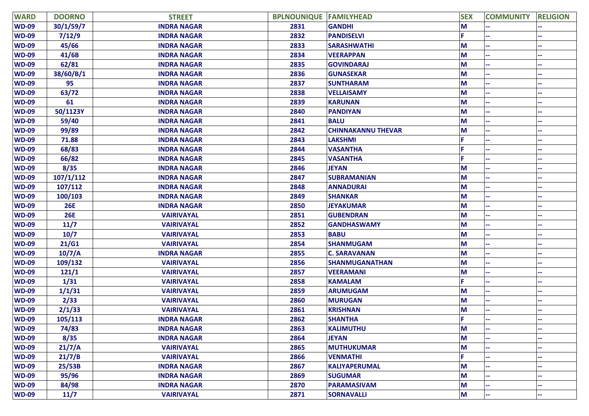| <b>WARD</b>  | <b>DOORNO</b> | <b>STREET</b>      | <b>BPLNOUNIQUE FAMILYHEAD</b> |                           | <b>SEX</b> | <b>COMMUNITY</b> | <b>RELIGION</b> |
|--------------|---------------|--------------------|-------------------------------|---------------------------|------------|------------------|-----------------|
| <b>WD-09</b> | 30/1/59/7     | <b>INDRA NAGAR</b> | 2831                          | <b>GANDHI</b>             | M          |                  |                 |
| <b>WD-09</b> | 7/12/9        | <b>INDRA NAGAR</b> | 2832                          | <b>PANDISELVI</b>         |            |                  |                 |
| <b>WD-09</b> | 45/66         | <b>INDRA NAGAR</b> | 2833                          | <b>SARASHWATHI</b>        | М          |                  |                 |
| <b>WD-09</b> | 41/6B         | <b>INDRA NAGAR</b> | 2834                          | <b>VEERAPPAN</b>          | М          |                  |                 |
| <b>WD-09</b> | 62/81         | <b>INDRA NAGAR</b> | 2835                          | <b>GOVINDARAJ</b>         | M          |                  |                 |
| <b>WD-09</b> | 38/60/B/1     | <b>INDRA NAGAR</b> | 2836                          | <b>GUNASEKAR</b>          | M          |                  |                 |
| <b>WD-09</b> | 95            | <b>INDRA NAGAR</b> | 2837                          | <b>SUNTHARAM</b>          | M          |                  |                 |
| <b>WD-09</b> | 63/72         | <b>INDRA NAGAR</b> | 2838                          | <b>VELLAISAMY</b>         | M          |                  |                 |
| <b>WD-09</b> | 61            | <b>INDRA NAGAR</b> | 2839                          | <b>KARUNAN</b>            | М          |                  |                 |
| <b>WD-09</b> | 50/1123Y      | <b>INDRA NAGAR</b> | 2840                          | <b>PANDIYAN</b>           | М          |                  |                 |
| <b>WD-09</b> | 59/40         | <b>INDRA NAGAR</b> | 2841                          | <b>BALU</b>               | M          |                  |                 |
| <b>WD-09</b> | 99/89         | <b>INDRA NAGAR</b> | 2842                          | <b>CHINNAKANNU THEVAR</b> | М          |                  |                 |
| <b>WD-09</b> | 71.88         | <b>INDRA NAGAR</b> | 2843                          | <b>LAKSHMI</b>            |            |                  |                 |
| <b>WD-09</b> | 68/83         | <b>INDRA NAGAR</b> | 2844                          | <b>VASANTHA</b>           |            |                  |                 |
| <b>WD-09</b> | 66/82         | <b>INDRA NAGAR</b> | 2845                          | <b>VASANTHA</b>           |            |                  |                 |
| <b>WD-09</b> | 8/35          | <b>INDRA NAGAR</b> | 2846                          | <b>JEYAN</b>              | М          |                  |                 |
| <b>WD-09</b> | 107/1/112     | <b>INDRA NAGAR</b> | 2847                          | <b>SUBRAMANIAN</b>        | М          |                  |                 |
| <b>WD-09</b> | 107/112       | <b>INDRA NAGAR</b> | 2848                          | <b>ANNADURAI</b>          | M          |                  |                 |
| <b>WD-09</b> | 100/103       | <b>INDRA NAGAR</b> | 2849                          | <b>SHANKAR</b>            | M          |                  |                 |
| <b>WD-09</b> | <b>26E</b>    | <b>INDRA NAGAR</b> | 2850                          | <b>JEYAKUMAR</b>          | М          |                  |                 |
| <b>WD-09</b> | <b>26E</b>    | <b>VAIRIVAYAL</b>  | 2851                          | <b>GUBENDRAN</b>          | М          |                  |                 |
| <b>WD-09</b> | 11/7          | <b>VAIRIVAYAL</b>  | 2852                          | <b>GANDHASWAMY</b>        | M          |                  |                 |
| <b>WD-09</b> | 10/7          | <b>VAIRIVAYAL</b>  | 2853                          | <b>BABU</b>               | М          |                  |                 |
| <b>WD-09</b> | 21/G1         | <b>VAIRIVAYAL</b>  | 2854                          | <b>SHANMUGAM</b>          | M          |                  |                 |
| <b>WD-09</b> | 10/7/A        | <b>INDRA NAGAR</b> | 2855                          | <b>C. SARAVANAN</b>       | M          |                  |                 |
| <b>WD-09</b> | 109/132       | <b>VAIRIVAYAL</b>  | 2856                          | <b>SHANMUGANATHAN</b>     | M          |                  |                 |
| <b>WD-09</b> | 121/1         | <b>VAIRIVAYAL</b>  | 2857                          | <b>VEERAMANI</b>          | M          |                  |                 |
| <b>WD-09</b> | 1/31          | <b>VAIRIVAYAL</b>  | 2858                          | <b>KAMALAM</b>            |            |                  |                 |
| <b>WD-09</b> | 1/1/31        | <b>VAIRIVAYAL</b>  | 2859                          | <b>ARUMUGAM</b>           | М          |                  |                 |
| <b>WD-09</b> | 2/33          | <b>VAIRIVAYAL</b>  | 2860                          | <b>MURUGAN</b>            | M          |                  |                 |
| <b>WD-09</b> | 2/1/33        | <b>VAIRIVAYAL</b>  | 2861                          | <b>KRISHNAN</b>           | M          |                  |                 |
| <b>WD-09</b> | 105/113       | <b>INDRA NAGAR</b> | 2862                          | <b>SHANTHA</b>            |            |                  |                 |
| <b>WD-09</b> | 74/83         | <b>INDRA NAGAR</b> | 2863                          | <b>KALIMUTHU</b>          | M          |                  |                 |
| <b>WD-09</b> | 8/35          | <b>INDRA NAGAR</b> | 2864                          | <b>JEYAN</b>              | M          |                  |                 |
| <b>WD-09</b> | 21/7/A        | <b>VAIRIVAYAL</b>  | 2865                          | <b>MUTHUKUMAR</b>         | M          |                  |                 |
| <b>WD-09</b> | 21/7/B        | <b>VAIRIVAYAL</b>  | 2866                          | <b>VENMATHI</b>           |            |                  |                 |
| <b>WD-09</b> | 25/53B        | <b>INDRA NAGAR</b> | 2867                          | <b>KALIYAPERUMAL</b>      | M          |                  |                 |
| <b>WD-09</b> | 95/96         | <b>INDRA NAGAR</b> | 2869                          | <b>SUGUMAR</b>            | M          |                  |                 |
| <b>WD-09</b> | 84/98         | <b>INDRA NAGAR</b> | 2870                          | <b>PARAMASIVAM</b>        | M          |                  |                 |
| <b>WD-09</b> | 11/7          | <b>VAIRIVAYAL</b>  | 2871                          | <b>SORNAVALLI</b>         | M          |                  | μ.              |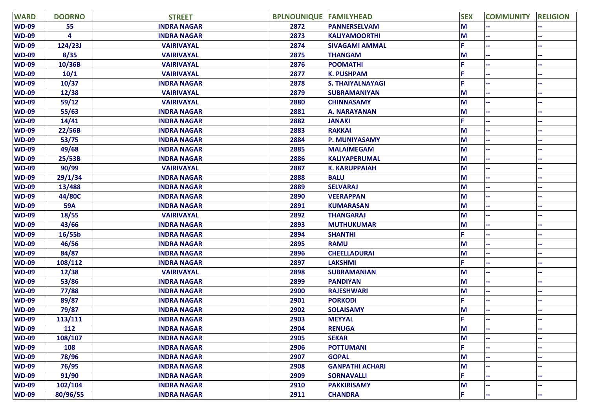| <b>WARD</b>  | <b>DOORNO</b> | <b>STREET</b>      | <b>BPLNOUNIQUE FAMILYHEAD</b> |                         | <b>SEX</b> | <b>COMMUNITY</b> | <b>RELIGION</b> |
|--------------|---------------|--------------------|-------------------------------|-------------------------|------------|------------------|-----------------|
| <b>WD-09</b> | 55            | <b>INDRA NAGAR</b> | 2872                          | <b>PANNERSELVAM</b>     | M          |                  |                 |
| <b>WD-09</b> | 4             | <b>INDRA NAGAR</b> | 2873                          | <b>KALIYAMOORTHI</b>    | M          |                  |                 |
| <b>WD-09</b> | 124/23J       | <b>VAIRIVAYAL</b>  | 2874                          | <b>SIVAGAMI AMMAL</b>   | p          |                  |                 |
| <b>WD-09</b> | 8/35          | <b>VAIRIVAYAL</b>  | 2875                          | <b>THANGAM</b>          | M          |                  |                 |
| <b>WD-09</b> | 10/36B        | <b>VAIRIVAYAL</b>  | 2876                          | <b>POOMATHI</b>         | Ë          |                  |                 |
| <b>WD-09</b> | 10/1          | <b>VAIRIVAYAL</b>  | 2877                          | <b>K. PUSHPAM</b>       | F          |                  |                 |
| <b>WD-09</b> | 10/37         | <b>INDRA NAGAR</b> | 2878                          | <b>S. THAIYALNAYAGI</b> | c          |                  |                 |
| <b>WD-09</b> | 12/38         | <b>VAIRIVAYAL</b>  | 2879                          | <b>SUBRAMANIYAN</b>     | M          |                  |                 |
| <b>WD-09</b> | 59/12         | <b>VAIRIVAYAL</b>  | 2880                          | <b>CHINNASAMY</b>       | M          |                  |                 |
| <b>WD-09</b> | 55/63         | <b>INDRA NAGAR</b> | 2881                          | <b>A. NARAYANAN</b>     | M          |                  |                 |
| <b>WD-09</b> | 14/41         | <b>INDRA NAGAR</b> | 2882                          | <b>JANAKI</b>           | p          |                  |                 |
| <b>WD-09</b> | 22/56B        | <b>INDRA NAGAR</b> | 2883                          | <b>RAKKAI</b>           | M          |                  |                 |
| <b>WD-09</b> | 53/75         | <b>INDRA NAGAR</b> | 2884                          | <b>P. MUNIYASAMY</b>    | M          |                  |                 |
| <b>WD-09</b> | 49/68         | <b>INDRA NAGAR</b> | 2885                          | <b>MALAIMEGAM</b>       | M          |                  |                 |
| <b>WD-09</b> | 25/53B        | <b>INDRA NAGAR</b> | 2886                          | <b>KALIYAPERUMAL</b>    | M          |                  |                 |
| <b>WD-09</b> | 90/99         | <b>VAIRIVAYAL</b>  | 2887                          | <b>K. KARUPPAIAH</b>    | M          |                  |                 |
| <b>WD-09</b> | 29/1/34       | <b>INDRA NAGAR</b> | 2888                          | <b>BALU</b>             | M          |                  |                 |
| <b>WD-09</b> | 13/488        | <b>INDRA NAGAR</b> | 2889                          | <b>SELVARAJ</b>         | M          |                  |                 |
| <b>WD-09</b> | 44/80C        | <b>INDRA NAGAR</b> | 2890                          | <b>VEERAPPAN</b>        | M          |                  |                 |
| <b>WD-09</b> | <b>59A</b>    | <b>INDRA NAGAR</b> | 2891                          | <b>KUMARASAN</b>        | M          |                  |                 |
| <b>WD-09</b> | 18/55         | <b>VAIRIVAYAL</b>  | 2892                          | <b>THANGARAJ</b>        | M          |                  |                 |
| <b>WD-09</b> | 43/66         | <b>INDRA NAGAR</b> | 2893                          | <b>MUTHUKUMAR</b>       | M          |                  |                 |
| <b>WD-09</b> | 16/55b        | <b>INDRA NAGAR</b> | 2894                          | <b>SHANTHI</b>          | p          |                  |                 |
| <b>WD-09</b> | 46/56         | <b>INDRA NAGAR</b> | 2895                          | <b>RAMU</b>             | M          |                  |                 |
| <b>WD-09</b> | 84/87         | <b>INDRA NAGAR</b> | 2896                          | <b>CHEELLADURAI</b>     | M          |                  |                 |
| <b>WD-09</b> | 108/112       | <b>INDRA NAGAR</b> | 2897                          | <b>LAKSHMI</b>          | F          |                  |                 |
| <b>WD-09</b> | 12/38         | <b>VAIRIVAYAL</b>  | 2898                          | <b>SUBRAMANIAN</b>      | M          |                  |                 |
| <b>WD-09</b> | 53/86         | <b>INDRA NAGAR</b> | 2899                          | <b>PANDIYAN</b>         | M          |                  |                 |
| <b>WD-09</b> | 77/88         | <b>INDRA NAGAR</b> | 2900                          | <b>RAJESHWARI</b>       | M          |                  |                 |
| <b>WD-09</b> | 89/87         | <b>INDRA NAGAR</b> | 2901                          | <b>PORKODI</b>          | F          |                  |                 |
| <b>WD-09</b> | 79/87         | <b>INDRA NAGAR</b> | 2902                          | <b>SOLAISAMY</b>        | M          |                  |                 |
| <b>WD-09</b> | 113/111       | <b>INDRA NAGAR</b> | 2903                          | <b>MEYYAL</b>           | F.         |                  |                 |
| <b>WD-09</b> | 112           | <b>INDRA NAGAR</b> | 2904                          | <b>RENUGA</b>           | M          |                  |                 |
| <b>WD-09</b> | 108/107       | <b>INDRA NAGAR</b> | 2905                          | <b>SEKAR</b>            | M          |                  |                 |
| <b>WD-09</b> | 108           | <b>INDRA NAGAR</b> | 2906                          | <b>POTTUMANI</b>        | F.         |                  |                 |
| <b>WD-09</b> | 78/96         | <b>INDRA NAGAR</b> | 2907                          | <b>GOPAL</b>            | M          |                  |                 |
| <b>WD-09</b> | 76/95         | <b>INDRA NAGAR</b> | 2908                          | <b>GANPATHI ACHARI</b>  | M          |                  |                 |
| <b>WD-09</b> | 91/90         | <b>INDRA NAGAR</b> | 2909                          | <b>SORNAVALLI</b>       | F.         |                  |                 |
| <b>WD-09</b> | 102/104       | <b>INDRA NAGAR</b> | 2910                          | <b>PAKKIRISAMY</b>      | M          |                  |                 |
| <b>WD-09</b> | 80/96/55      | <b>INDRA NAGAR</b> | 2911                          | <b>CHANDRA</b>          | F.         |                  |                 |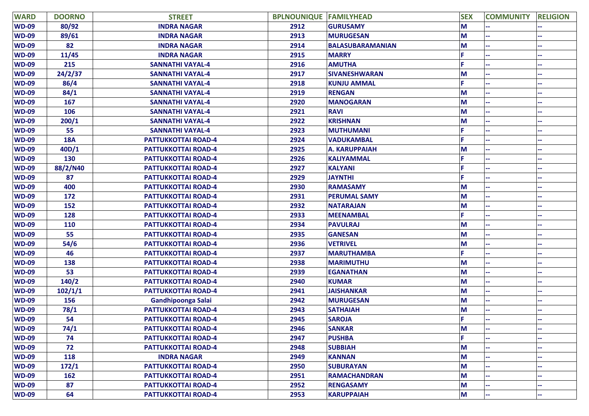| <b>WARD</b>  | <b>DOORNO</b> | <b>STREET</b>              | <b>BPLNOUNIQUE</b> | <b>FAMILYHEAD</b>       | <b>SEX</b> | <b>COMMUNITY</b> | <b>RELIGION</b> |
|--------------|---------------|----------------------------|--------------------|-------------------------|------------|------------------|-----------------|
| <b>WD-09</b> | 80/92         | <b>INDRA NAGAR</b>         | 2912               | <b>GURUSAMY</b>         | M          |                  |                 |
| <b>WD-09</b> | 89/61         | <b>INDRA NAGAR</b>         | 2913               | <b>MURUGESAN</b>        | M          |                  |                 |
| <b>WD-09</b> | 82            | <b>INDRA NAGAR</b>         | 2914               | <b>BALASUBARAMANIAN</b> | M          |                  |                 |
| <b>WD-09</b> | 11/45         | <b>INDRA NAGAR</b>         | 2915               | <b>MARRY</b>            |            |                  |                 |
| <b>WD-09</b> | 215           | <b>SANNATHI VAYAL-4</b>    | 2916               | <b>AMUTHA</b>           |            |                  |                 |
| <b>WD-09</b> | 24/2/37       | <b>SANNATHI VAYAL-4</b>    | 2917               | <b>SIVANESHWARAN</b>    | M          |                  |                 |
| <b>WD-09</b> | 86/4          | <b>SANNATHI VAYAL-4</b>    | 2918               | <b>KUNJU AMMAL</b>      |            |                  |                 |
| <b>WD-09</b> | 84/1          | <b>SANNATHI VAYAL-4</b>    | 2919               | <b>RENGAN</b>           | M          |                  |                 |
| <b>WD-09</b> | 167           | <b>SANNATHI VAYAL-4</b>    | 2920               | <b>MANOGARAN</b>        | M          |                  |                 |
| <b>WD-09</b> | 106           | <b>SANNATHI VAYAL-4</b>    | 2921               | <b>RAVI</b>             | M          |                  |                 |
| <b>WD-09</b> | 200/1         | <b>SANNATHI VAYAL-4</b>    | 2922               | <b>KRISHNAN</b>         | M          |                  |                 |
| <b>WD-09</b> | 55            | <b>SANNATHI VAYAL-4</b>    | 2923               | <b>MUTHUMANI</b>        |            |                  |                 |
| <b>WD-09</b> | <b>18A</b>    | <b>PATTUKKOTTAI ROAD-4</b> | 2924               | <b>VADUKAMBAL</b>       |            |                  |                 |
| <b>WD-09</b> | 40D/1         | <b>PATTUKKOTTAI ROAD-4</b> | 2925               | <b>A. KARUPPAIAH</b>    | M          |                  |                 |
| <b>WD-09</b> | 130           | <b>PATTUKKOTTAI ROAD-4</b> | 2926               | <b>KALIYAMMAL</b>       |            |                  |                 |
| <b>WD-09</b> | 88/2/N40      | <b>PATTUKKOTTAI ROAD-4</b> | 2927               | <b>KALYANI</b>          |            |                  |                 |
| <b>WD-09</b> | 87            | <b>PATTUKKOTTAI ROAD-4</b> | 2929               | <b>JAYNTHI</b>          |            |                  |                 |
| <b>WD-09</b> | 400           | <b>PATTUKKOTTAI ROAD-4</b> | 2930               | <b>RAMASAMY</b>         | M          |                  |                 |
| <b>WD-09</b> | 172           | <b>PATTUKKOTTAI ROAD-4</b> | 2931               | <b>PERUMAL SAMY</b>     | M          |                  |                 |
| <b>WD-09</b> | 152           | <b>PATTUKKOTTAI ROAD-4</b> | 2932               | <b>NATARAJAN</b>        | M          |                  |                 |
| <b>WD-09</b> | 128           | <b>PATTUKKOTTAI ROAD-4</b> | 2933               | <b>MEENAMBAL</b>        |            |                  |                 |
| <b>WD-09</b> | 110           | <b>PATTUKKOTTAI ROAD-4</b> | 2934               | <b>PAVULRAJ</b>         | M          |                  |                 |
| <b>WD-09</b> | 55            | <b>PATTUKKOTTAI ROAD-4</b> | 2935               | <b>GANESAN</b>          | M          |                  |                 |
| <b>WD-09</b> | 54/6          | <b>PATTUKKOTTAI ROAD-4</b> | 2936               | <b>VETRIVEL</b>         | M          |                  |                 |
| <b>WD-09</b> | 46            | <b>PATTUKKOTTAI ROAD-4</b> | 2937               | <b>MARUTHAMBA</b>       |            |                  |                 |
| <b>WD-09</b> | 138           | <b>PATTUKKOTTAI ROAD-4</b> | 2938               | <b>MARIMUTHU</b>        | M          |                  |                 |
| <b>WD-09</b> | 53            | <b>PATTUKKOTTAI ROAD-4</b> | 2939               | <b>EGANATHAN</b>        | M          |                  |                 |
| <b>WD-09</b> | 140/2         | <b>PATTUKKOTTAI ROAD-4</b> | 2940               | <b>KUMAR</b>            | M          |                  |                 |
| <b>WD-09</b> | 102/1/1       | <b>PATTUKKOTTAI ROAD-4</b> | 2941               | <b>JAISHANKAR</b>       | M          |                  |                 |
| <b>WD-09</b> | 156           | Gandhipoonga Salai         | 2942               | <b>MURUGESAN</b>        | M          |                  |                 |
| <b>WD-09</b> | 78/1          | <b>PATTUKKOTTAI ROAD-4</b> | 2943               | <b>SATHAIAH</b>         | M          |                  |                 |
| <b>WD-09</b> | 54            | <b>PATTUKKOTTAI ROAD-4</b> | 2945               | <b>SAROJA</b>           | F.         |                  |                 |
| <b>WD-09</b> | 74/1          | <b>PATTUKKOTTAI ROAD-4</b> | 2946               | <b>SANKAR</b>           | M          |                  |                 |
| <b>WD-09</b> | 74            | <b>PATTUKKOTTAI ROAD-4</b> | 2947               | <b>PUSHBA</b>           | F.         |                  |                 |
| <b>WD-09</b> | 72            | <b>PATTUKKOTTAI ROAD-4</b> | 2948               | <b>SUBBIAH</b>          | M          |                  |                 |
| <b>WD-09</b> | 118           | <b>INDRA NAGAR</b>         | 2949               | <b>KANNAN</b>           | M          |                  |                 |
| <b>WD-09</b> | 172/1         | <b>PATTUKKOTTAI ROAD-4</b> | 2950               | <b>SUBURAYAN</b>        | M          |                  |                 |
| <b>WD-09</b> | 162           | <b>PATTUKKOTTAI ROAD-4</b> | 2951               | <b>RAMACHANDRAN</b>     | M          |                  |                 |
| <b>WD-09</b> | 87            | <b>PATTUKKOTTAI ROAD-4</b> | 2952               | <b>RENGASAMY</b>        | M          |                  |                 |
| <b>WD-09</b> | 64            | <b>PATTUKKOTTAI ROAD-4</b> | 2953               | <b>KARUPPAIAH</b>       | M          |                  |                 |